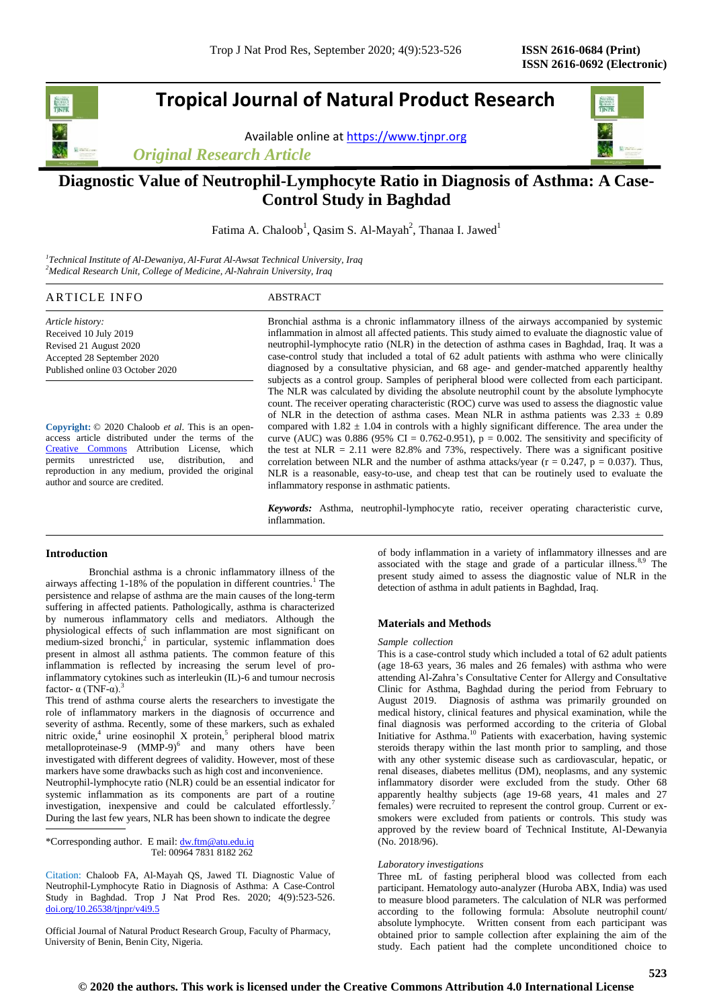# **Tropical Journal of Natural Product Research**

Available online a[t https://www.tjnpr.org](https://www.tjnpr.org/)

*Original Research Article*



# **Diagnostic Value of Neutrophil-Lymphocyte Ratio in Diagnosis of Asthma: A Case-Control Study in Baghdad**

Fatima A. Chaloob<sup>1</sup>, Qasim S. Al-Mayah<sup>2</sup>, Thanaa I. Jawed<sup>1</sup>

*1 Technical Institute of Al-Dewaniya, Al-Furat Al-Awsat Technical University, Iraq <sup>2</sup>Medical Research Unit, College of Medicine, Al-Nahrain University, Iraq*

# ARTICLE INFO ABSTRACT

*Article history:* Received 10 July 2019 Revised 21 August 2020 Accepted 28 September 2020 Published online 03 October 2020

**Copyright:** © 2020 Chaloob *et al*. This is an openaccess article distributed under the terms of the [Creative Commons](https://creativecommons.org/licenses/by/4.0/) Attribution License, which permits unrestricted use, distribution, and reproduction in any medium, provided the original author and source are credited.

Bronchial asthma is a chronic inflammatory illness of the airways accompanied by systemic inflammation in almost all affected patients. This study aimed to evaluate the diagnostic value of neutrophil-lymphocyte ratio (NLR) in the detection of asthma cases in Baghdad, Iraq. It was a case-control study that included a total of 62 adult patients with asthma who were clinically diagnosed by a consultative physician, and 68 age- and gender-matched apparently healthy subjects as a control group. Samples of peripheral blood were collected from each participant. The NLR was calculated by dividing the absolute neutrophil count by the absolute lymphocyte count. The receiver operating characteristic (ROC) curve was used to assess the diagnostic value of NLR in the detection of asthma cases. Mean NLR in asthma patients was  $2.33 \pm 0.89$ compared with  $1.82 \pm 1.04$  in controls with a highly significant difference. The area under the curve (AUC) was 0.886 (95% CI = 0.762-0.951),  $p = 0.002$ . The sensitivity and specificity of the test at NLR = 2.11 were 82.8% and 73%, respectively. There was a significant positive correlation between NLR and the number of asthma attacks/year ( $r = 0.247$ ,  $p = 0.037$ ). Thus, NLR is a reasonable, easy-to-use, and cheap test that can be routinely used to evaluate the inflammatory response in asthmatic patients.

*Keywords:* Asthma, neutrophil-lymphocyte ratio, receiver operating characteristic curve, inflammation.

# **Introduction**

Bronchial asthma is a chronic inflammatory illness of the airways affecting 1-18% of the population in different countries.<sup>1</sup> The persistence and relapse of asthma are the main causes of the long-term suffering in affected patients. Pathologically, asthma is characterized by numerous inflammatory cells and mediators. Although the physiological effects of such inflammation are most significant on medium-sized bronchi,<sup>2</sup> in particular, systemic inflammation does present in almost all asthma patients. The common feature of this inflammation is reflected by increasing the serum level of proinflammatory cytokines such as interleukin (IL)-6 and tumour necrosis factor-  $\alpha$  (TNF-α).<sup>3</sup>

This trend of asthma course alerts the researchers to investigate the role of inflammatory markers in the diagnosis of occurrence and severity of asthma. Recently, some of these markers, such as exhaled nitric oxide,<sup>4</sup> urine eosinophil X protein,<sup>5</sup> peripheral blood matrix metalloproteinase-9  $(MMP-9)^6$  and many others have been investigated with different degrees of validity. However, most of these markers have some drawbacks such as high cost and inconvenience.

Neutrophil-lymphocyte ratio (NLR) could be an essential indicator for systemic inflammation as its components are part of a routine investigation, inexpensive and could be calculated effortlessly. During the last few years, NLR has been shown to indicate the degree

\*Corresponding author. E mail: [dw.ftm@atu.edu.iq](mailto:dw.ftm@atu.edu.iq)  Tel: 00964 7831 8182 262

Citation: Chaloob FA, Al-Mayah QS, Jawed TI. Diagnostic Value of Neutrophil-Lymphocyte Ratio in Diagnosis of Asthma: A Case-Control Study in Baghdad. Trop J Nat Prod Res. 2020; 4(9):523-526. [doi.org/10.26538/tjnpr/v4i9.5](http://www.doi.org/10.26538/tjnpr/v1i4.5)

Official Journal of Natural Product Research Group, Faculty of Pharmacy, University of Benin, Benin City, Nigeria.

of body inflammation in a variety of inflammatory illnesses and are associated with the stage and grade of a particular illness.<sup>8,9</sup> The present study aimed to assess the diagnostic value of NLR in the detection of asthma in adult patients in Baghdad, Iraq.

# **Materials and Methods**

#### *Sample collection*

This is a case-control study which included a total of 62 adult patients (age 18-63 years, 36 males and 26 females) with asthma who were attending Al-Zahra's Consultative Center for Allergy and Consultative Clinic for Asthma, Baghdad during the period from February to August 2019. Diagnosis of asthma was primarily grounded on medical history, clinical features and physical examination, while the final diagnosis was performed according to the criteria of Global Initiative for Asthma.<sup>10</sup> Patients with exacerbation, having systemic steroids therapy within the last month prior to sampling, and those with any other systemic disease such as cardiovascular, hepatic, or renal diseases, diabetes mellitus (DM), neoplasms, and any systemic inflammatory disorder were excluded from the study. Other 68 apparently healthy subjects (age 19-68 years, 41 males and 27 females) were recruited to represent the control group. Current or exsmokers were excluded from patients or controls. This study was approved by the review board of Technical Institute, Al-Dewanyia (No. 2018/96).

## *Laboratory investigations*

Three mL of fasting peripheral blood was collected from each participant. Hematology auto-analyzer (Huroba ABX, India) was used to measure blood parameters. The calculation of NLR was performed according to the following formula: Absolute neutrophil count/ absolute lymphocyte. Written consent from each participant was obtained prior to sample collection after explaining the aim of the study. Each patient had the complete unconditioned choice to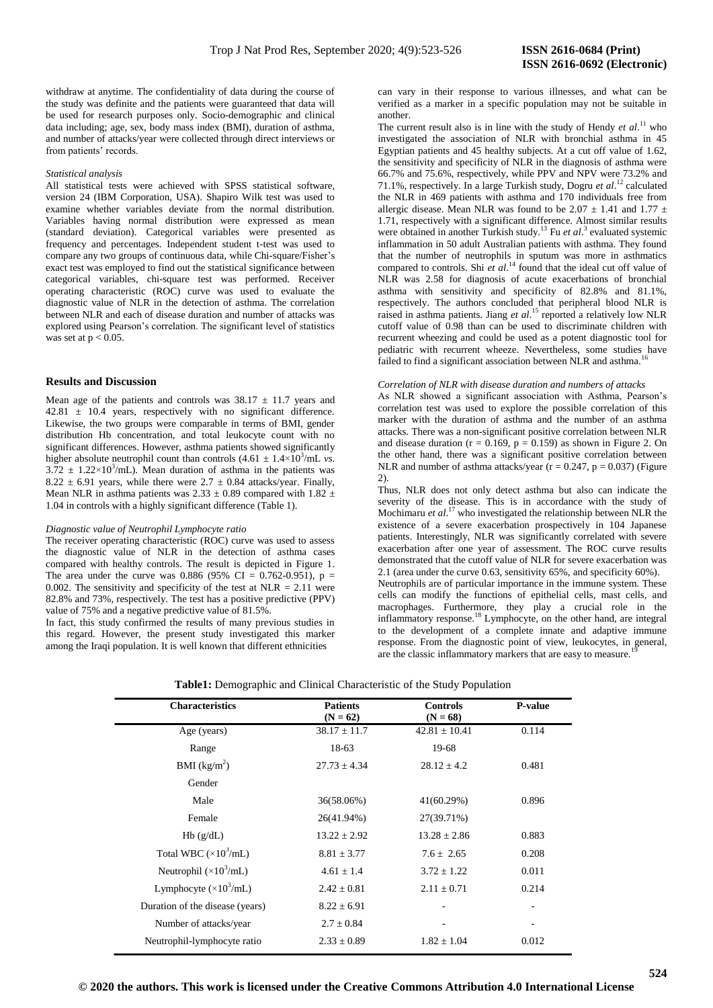withdraw at anytime. The confidentiality of data during the course of the study was definite and the patients were guaranteed that data will be used for research purposes only. Socio-demographic and clinical data including; age, sex, body mass index (BMI), duration of asthma, and number of attacks/year were collected through direct interviews or from patients' records.

#### *Statistical analysis*

All statistical tests were achieved with SPSS statistical software, version 24 (IBM Corporation, USA). Shapiro Wilk test was used to examine whether variables deviate from the normal distribution. Variables having normal distribution were expressed as mean (standard deviation). Categorical variables were presented as frequency and percentages. Independent student t-test was used to compare any two groups of continuous data, while Chi-square/Fisher's exact test was employed to find out the statistical significance between categorical variables, chi-square test was performed. Receiver operating characteristic (ROC) curve was used to evaluate the diagnostic value of NLR in the detection of asthma. The correlation between NLR and each of disease duration and number of attacks was explored using Pearson's correlation. The significant level of statistics was set at  $p < 0.05$ .

# **Results and Discussion**

Mean age of the patients and controls was  $38.17 \pm 11.7$  years and 42.81 ± 10.4 years, respectively with no significant difference. Likewise, the two groups were comparable in terms of BMI, gender distribution Hb concentration, and total leukocyte count with no significant differences. However, asthma patients showed significantly higher absolute neutrophil count than controls  $(4.61 \pm 1.4 \times 10^3/\text{mL} \text{ vs.})$  $3.72 \pm 1.22 \times 10^3$ /mL). Mean duration of asthma in the patients was 8.22  $\pm$  6.91 years, while there were 2.7  $\pm$  0.84 attacks/year. Finally, Mean NLR in asthma patients was 2.33  $\pm$  0.89 compared with 1.82  $\pm$ 1.04 in controls with a highly significant difference (Table 1).

# *Diagnostic value of Neutrophil Lymphocyte ratio*

The receiver operating characteristic (ROC) curve was used to assess the diagnostic value of NLR in the detection of asthma cases compared with healthy controls. The result is depicted in Figure 1. The area under the curve was 0.886 (95% CI =  $0.762{\text -}0.951$ ), p = 0.002. The sensitivity and specificity of the test at  $NLR = 2.11$  were 82.8% and 73%, respectively. The test has a positive predictive (PPV) value of 75% and a negative predictive value of 81.5%.

In fact, this study confirmed the results of many previous studies in this regard. However, the present study investigated this marker among the Iraqi population. It is well known that different ethnicities

can vary in their response to various illnesses, and what can be verified as a marker in a specific population may not be suitable in another.

The current result also is in line with the study of Hendy  $et al.<sup>11</sup>$  who investigated the association of NLR with bronchial asthma in 45 Egyptian patients and 45 healthy subjects. At a cut off value of 1.62, the sensitivity and specificity of NLR in the diagnosis of asthma were 66.7% and 75.6%, respectively, while PPV and NPV were 73.2% and 71.1%, respectively. In a large Turkish study, Dogru *et al*. <sup>12</sup> calculated the NLR in 469 patients with asthma and 170 individuals free from allergic disease. Mean NLR was found to be 2.07  $\pm$  1.41 and 1.77  $\pm$ 1.71, respectively with a significant difference. Almost similar results were obtained in another Turkish study.<sup>13</sup> Fu et al.<sup>3</sup> evaluated systemic inflammation in 50 adult Australian patients with asthma. They found that the number of neutrophils in sputum was more in asthmatics compared to controls. Shi *et al.*<sup>14</sup> found that the ideal cut off value of NLR was 2.58 for diagnosis of acute exacerbations of bronchial asthma with sensitivity and specificity of 82.8% and 81.1%, respectively. The authors concluded that peripheral blood NLR is raised in asthma patients. Jiang *et al*. <sup>15</sup> reported a relatively low NLR cutoff value of 0.98 than can be used to discriminate children with recurrent wheezing and could be used as a potent diagnostic tool for pediatric with recurrent wheeze. Nevertheless, some studies have failed to find a significant association between NLR and asthma.<sup>16</sup>

## *Correlation of NLR with disease duration and numbers of attacks*

As NLR showed a significant association with Asthma, Pearson's correlation test was used to explore the possible correlation of this marker with the duration of asthma and the number of an asthma attacks. There was a non-significant positive correlation between NLR and disease duration ( $r = 0.169$ ,  $p = 0.159$ ) as shown in Figure 2. On the other hand, there was a significant positive correlation between NLR and number of asthma attacks/year  $(r = 0.247, p = 0.037)$  (Figure 2).

Thus, NLR does not only detect asthma but also can indicate the severity of the disease. This is in accordance with the study of Mochimaru *et al*. <sup>17</sup> who investigated the relationship between NLR the existence of a severe exacerbation prospectively in 104 Japanese patients. Interestingly, NLR was significantly correlated with severe exacerbation after one year of assessment. The ROC curve results demonstrated that the cutoff value of NLR for severe exacerbation was 2.1 (area under the curve 0.63, sensitivity 65%, and specificity 60%).

Neutrophils are of particular importance in the immune system. These cells can modify the functions of epithelial cells, mast cells, and macrophages. Furthermore, they play a crucial role in the inflammatory response.<sup>18</sup> Lymphocyte, on the other hand, are integral to the development of a complete innate and adaptive immune response. From the diagnostic point of view, leukocytes, in general, are the classic inflammatory markers that are easy to measure.

| <b>Characteristics</b>               | <b>Patients</b><br>$(N = 62)$ | <b>Controls</b><br>$(N = 68)$ | <b>P-value</b> |
|--------------------------------------|-------------------------------|-------------------------------|----------------|
| Age (years)                          | $38.17 \pm 11.7$              | $42.81 \pm 10.41$             | 0.114          |
| Range                                | 18-63                         | 19-68                         |                |
| BMI $(kg/m2)$                        | $27.73 \pm 4.34$              | $28.12 \pm 4.2$               | 0.481          |
| Gender                               |                               |                               |                |
| Male                                 | 36(58.06%)                    | 41(60.29%)                    | 0.896          |
| Female                               | 26(41.94%)                    | 27(39.71%)                    |                |
| Hb(g/dL)                             | $13.22 \pm 2.92$              | $13.28 \pm 2.86$              | 0.883          |
| Total WBC $(\times 10^3 \text{/mL})$ | $8.81 \pm 3.77$               | $7.6 \pm 2.65$                | 0.208          |
| Neutrophil $(\times 10^3/\text{mL})$ | $4.61 \pm 1.4$                | $3.72 \pm 1.22$               | 0.011          |
| Lymphocyte $(\times 10^3$ /mL)       | $2.42 \pm 0.81$               | $2.11 + 0.71$                 | 0.214          |
| Duration of the disease (years)      | $8.22 \pm 6.91$               |                               |                |
| Number of attacks/year               | $2.7 \pm 0.84$                |                               |                |
| Neutrophil-lymphocyte ratio          | $2.33 \pm 0.89$               | $1.82 \pm 1.04$               | 0.012          |
|                                      |                               |                               |                |

**Table1:** Demographic and Clinical Characteristic of the Study Population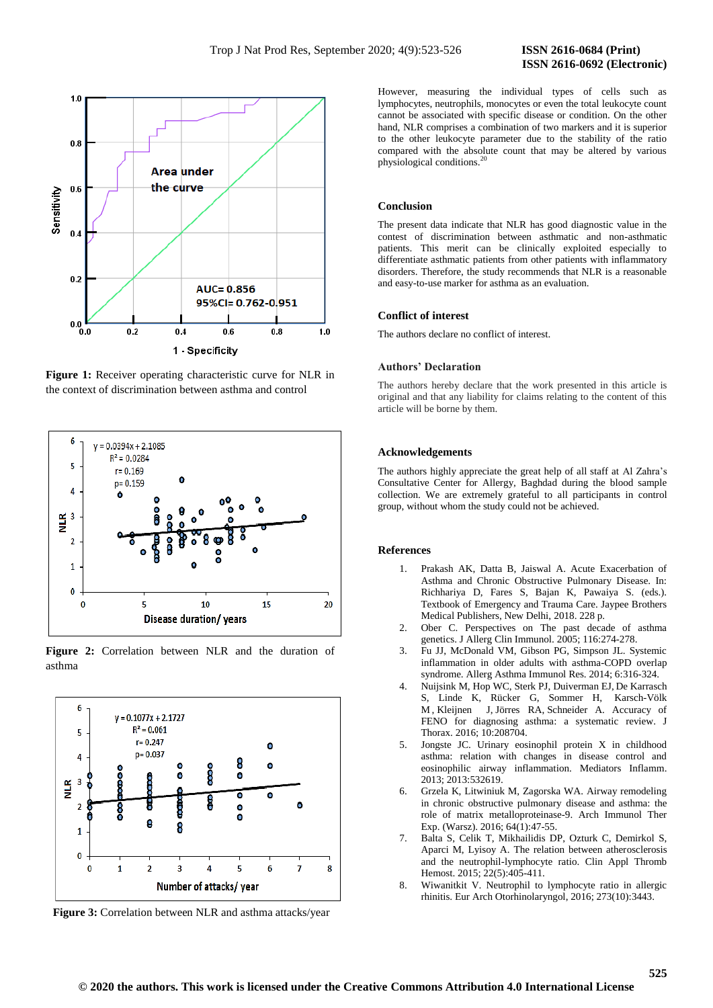

**Figure 1:** Receiver operating characteristic curve for NLR in the context of discrimination between asthma and control







**Figure 3:** Correlation between NLR and asthma attacks/year

However, measuring the individual types of cells such as lymphocytes, neutrophils, monocytes or even the total leukocyte count cannot be associated with specific disease or condition. On the other hand, NLR comprises a combination of two markers and it is superior to the other leukocyte parameter due to the stability of the ratio compared with the absolute count that may be altered by various physiological conditions.<sup>20</sup>

## **Conclusion**

The present data indicate that NLR has good diagnostic value in the contest of discrimination between asthmatic and non-asthmatic patients. This merit can be clinically exploited especially to differentiate asthmatic patients from other patients with inflammatory disorders. Therefore, the study recommends that NLR is a reasonable and easy-to-use marker for asthma as an evaluation.

#### **Conflict of interest**

The authors declare no conflict of interest.

# **Authors' Declaration**

The authors hereby declare that the work presented in this article is original and that any liability for claims relating to the content of this article will be borne by them.

## **Acknowledgements**

The authors highly appreciate the great help of all staff at Al Zahra's Consultative Center for Allergy, Baghdad during the blood sample collection. We are extremely grateful to all participants in control group, without whom the study could not be achieved.

#### **References**

- 1. Prakash AK, Datta B, Jaiswal A. Acute Exacerbation of Asthma and Chronic Obstructive Pulmonary Disease. In: Richhariya D, Fares S, Bajan K, Pawaiya S. (eds.). Textbook of Emergency and Trauma Care. Jaypee Brothers Medical Publishers, New Delhi, 2018. 228 p.
- 2. Ober C. Perspectives on The past decade of asthma genetics. J Allerg Clin Immunol. 2005; 116:274-278.
- 3. Fu JJ, McDonald VM, Gibson PG, Simpson JL. Systemic inflammation in older adults with asthma-COPD overlap syndrome. Allerg Asthma Immunol Res. 2014; 6:316-324.
- 4. Nuijsink M, Hop WC, Sterk PJ, Duiverman EJ, De Karrasch S, Linde K, Rücker G, Sommer H, [Karsch-Völk](https://pubmed.ncbi.nlm.nih.gov/?term=Karsch-V%C3%B6lk+M&cauthor_id=27388487) M , [Kleijnen](https://pubmed.ncbi.nlm.nih.gov/?term=Kleijnen+J&cauthor_id=27388487) J, [Jörres](https://pubmed.ncbi.nlm.nih.gov/?term=J%C3%B6rres+RA&cauthor_id=27388487) RA, Schneider A. Accuracy of FENO for diagnosing asthma: a systematic review. J Thorax. 2016; 10:208704.
- 5. Jongste JC. Urinary eosinophil protein X in childhood asthma: relation with changes in disease control and eosinophilic airway inflammation. Mediators Inflamm. 2013; 2013:532619.
- 6. Grzela K, Litwiniuk M, Zagorska WA. Airway remodeling in chronic obstructive pulmonary disease and asthma: the role of matrix metalloproteinase-9. Arch Immunol Ther Exp. (Warsz). 2016; 64(1):47-55.
- 7. Balta S, Celik T, Mikhailidis DP, Ozturk C, Demirkol S, Aparci M, Lyisoy A. The relation between atherosclerosis and the neutrophil-lymphocyte ratio. Clin Appl Thromb Hemost. 2015; 22(5):405-411.
- 8. Wiwanitkit V. Neutrophil to lymphocyte ratio in allergic rhinitis. Eur Arch Otorhinolaryngol, 2016; 273(10):3443.